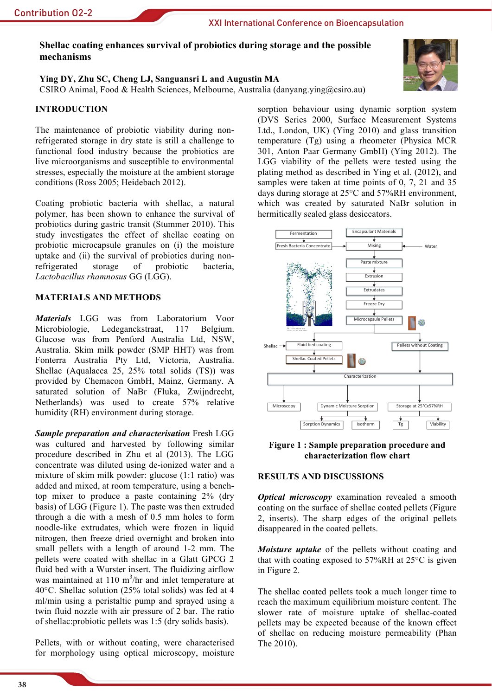# Shellac coating enhances survival of probiotics during storage and the possible mechanisms

#### Ying DY, Zhu SC, Cheng LJ, Sanguansri L and Augustin MA CSIRO Animal, Food & Health Sciences, Melbourne, Australia (danyang ving@csiro.au)

## **INTRODUCTION**

The maintenance of probiotic viability during nonrefrigerated storage in dry state is still a challenge to functional food industry because the probiotics are live microorganisms and susceptible to environmental stresses, especially the moisture at the ambient storage conditions (Ross 2005; Heidebach 2012).

Coating probiotic bacteria with shellac, a natural polymer, has been shown to enhance the survival of probiotics during gastric transit (Stummer 2010). This study investigates the effect of shellac coating on probiotic microcapsule granules on (i) the moisture uptake and (ii) the survival of probiotics during nonrefrigerated probiotic storage of bacteria. Lactobacillus rhamnosus GG (LGG).

## **MATERIALS AND METHODS**

**Materials** LGG was from Laboratorium Voor Microbiologie, Ledeganckstraat, 117 Belgium. Glucose was from Penford Australia Ltd, NSW, Australia. Skim milk powder (SMP HHT) was from Fonterra Australia Pty Ltd, Victoria, Australia. Shellac (Aqualacca 25, 25% total solids (TS)) was provided by Chemacon GmbH, Mainz, Germany. A saturated solution of NaBr (Fluka, Zwijndrecht, Netherlands) was used to create 57% relative humidity (RH) environment during storage.

**Sample preparation and characterisation Fresh LGG** was cultured and harvested by following similar procedure described in Zhu et al (2013). The LGG concentrate was diluted using de-ionized water and a mixture of skim milk powder: glucose (1:1 ratio) was added and mixed, at room temperature, using a benchtop mixer to produce a paste containing  $2\%$  (dry basis) of LGG (Figure 1). The paste was then extruded through a die with a mesh of 0.5 mm holes to form noodle-like extrudates, which were frozen in liquid nitrogen, then freeze dried overnight and broken into small pellets with a length of around 1-2 mm. The pellets were coated with shellac in a Glatt GPCG 2 fluid bed with a Wurster insert. The fluidizing airflow was maintained at 110  $m^3$ /hr and inlet temperature at 40 $\degree$ C. Shellac solution (25% total solids) was fed at 4 ml/min using a peristaltic pump and sprayed using a twin fluid nozzle with air pressure of 2 bar. The ratio of shellac: probiotic pellets was 1:5 (dry solids basis).

Pellets, with or without coating, were characterised for morphology using optical microscopy, moisture





Figure 1: Sample preparation procedure and characterization flow chart

### **RESULTS AND DISCUSSIONS**

**Optical microscopy** examination revealed a smooth coating on the surface of shellac coated pellets (Figure 2, inserts). The sharp edges of the original pellets disappeared in the coated pellets.

*Moisture uptake* of the pellets without coating and that with coating exposed to 57%RH at 25°C is given in Figure 2.

The shellac coated pellets took a much longer time to reach the maximum equilibrium moisture content. The slower rate of moisture uptake of shellac-coated pellets may be expected because of the known effect of shellac on reducing moisture permeability (Phan The 2010).